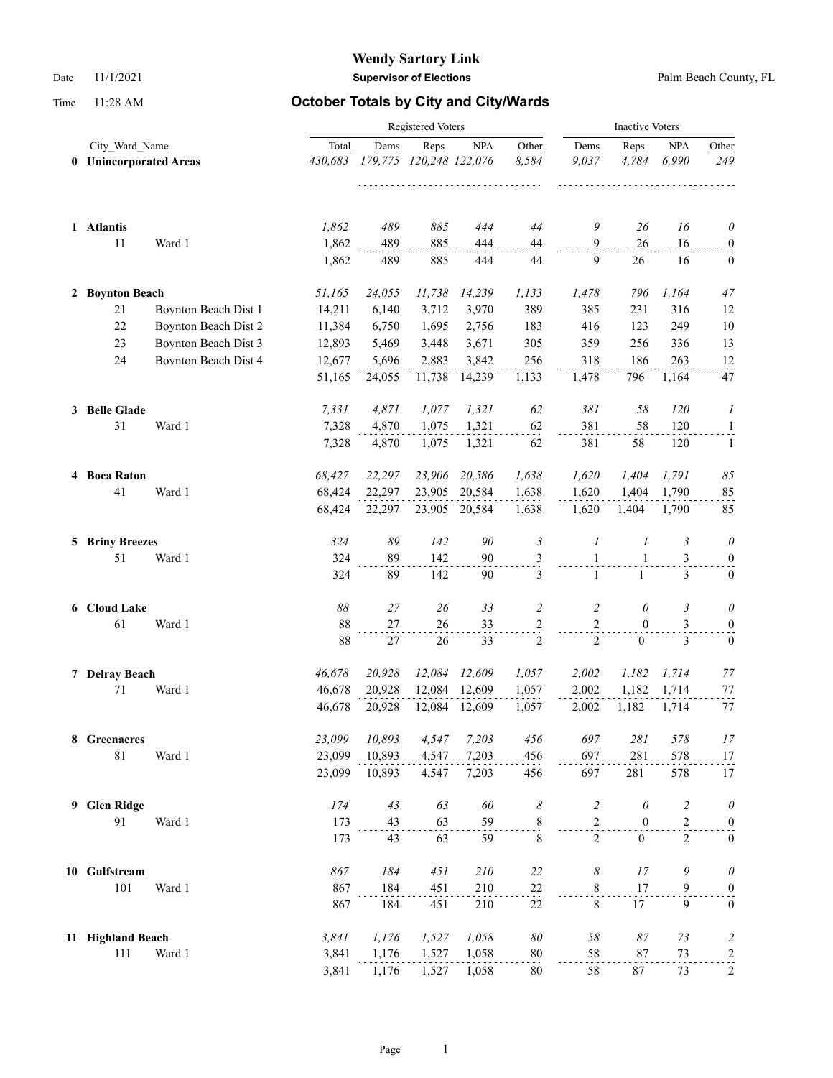|   |                             |                      |         | <b>Inactive Voters</b> |                         |               |                |                |                   |                |                         |
|---|-----------------------------|----------------------|---------|------------------------|-------------------------|---------------|----------------|----------------|-------------------|----------------|-------------------------|
|   | City Ward Name              |                      | Total   | Dems                   | Reps                    | <b>NPA</b>    | Other          | Dems           | Reps              | <b>NPA</b>     | Other                   |
| 0 | <b>Unincorporated Areas</b> |                      | 430,683 |                        | 179,775 120,248 122,076 |               | 8,584          | 9,037          | 4.784             | 6.990          | 249                     |
|   |                             |                      |         |                        |                         |               |                |                |                   |                |                         |
|   | 1 Atlantis                  |                      | 1,862   | 489                    | 885                     | 444           | 44             | 9              | 26                | 16             | $\theta$                |
|   | 11                          | Ward 1               | 1,862   | 489                    | 885                     | 444           | $44\,$         | $\mathbf{9}$   | 26                | 16             | $\boldsymbol{0}$        |
|   |                             |                      | 1,862   | 489                    | 885                     | 444           | 44             | 9              | 26                | 16             | $\mathbf{0}$            |
|   | 2 Boynton Beach             |                      | 51,165  | 24,055                 | 11,738                  | 14,239        | 1,133          | 1,478          | 796               | 1,164          | 47                      |
|   | 21                          | Boynton Beach Dist 1 | 14,211  | 6,140                  | 3,712                   | 3,970         | 389            | 385            | 231               | 316            | 12                      |
|   | 22                          | Boynton Beach Dist 2 | 11,384  | 6,750                  | 1,695                   | 2,756         | 183            | 416            | 123               | 249            | 10                      |
|   | 23                          | Boynton Beach Dist 3 | 12,893  | 5,469                  | 3,448                   | 3,671         | 305            | 359            | 256               | 336            | 13                      |
|   | 24                          | Boynton Beach Dist 4 | 12,677  | 5,696                  | 2,883                   | 3,842         | 256            | 318            | 186               | 263            | 12                      |
|   |                             |                      | 51,165  | 24,055                 | 11,738                  | 14,239        | 1,133          | 1,478          | 796               | 1,164          | 47                      |
|   | 3 Belle Glade               |                      | 7,331   | 4,871                  | 1,077                   | 1,321         | 62             | 381            | 58                | 120            | 1                       |
|   | 31                          | Ward 1               | 7,328   | 4,870                  | 1,075                   | 1,321         | 62             | 381            | 58                | 120            | $\mathbf{1}$            |
|   |                             |                      | 7,328   | 4,870                  | 1,075                   | 1,321         | 62             | 381            | 58                | 120            | -1                      |
|   | 4 Boca Raton                |                      | 68,427  | 22,297                 | 23,906                  | 20,586        | 1,638          | 1,620          | 1,404             | 1,791          | 85                      |
|   | 41                          | Ward 1               | 68,424  | 22,297                 | 23,905                  | 20,584        | 1,638          | 1,620          | 1,404             | 1,790          | 85                      |
|   |                             |                      | 68,424  | 22,297                 |                         | 23,905 20,584 | 1,638          | 1,620          | 1,404             | 1,790          | 85                      |
|   | <b>5 Briny Breezes</b>      |                      | 324     | 89                     | 142                     | 90            | 3              | 1              | 1                 | 3              | 0                       |
|   | 51                          | Ward 1               | 324     | 89                     | 142                     | 90            | $\frac{3}{2}$  | $\mathbf{1}$   | $\mathbf{1}$      | 3              | $\boldsymbol{0}$        |
|   |                             |                      | 324     | 89                     | 142                     | 90            | 3              | $\mathbf{1}$   | $\mathbf{1}$      | 3              | $\mathbf{0}$            |
|   | 6 Cloud Lake                |                      | 88      | 27                     | 26                      | 33            | $\overline{2}$ | 2              | $\theta$          | 3              | 0                       |
|   | 61                          | Ward 1               | 88      | 27                     | 26                      | 33            | 2              | $\sqrt{2}$     | $\overline{0}$    | 3              | $\boldsymbol{0}$        |
|   |                             |                      | 88      | 27                     | 26                      | 33            | $\frac{1}{2}$  | $\overline{2}$ | $\overline{0}$    | 3              | $\boldsymbol{0}$        |
|   | 7 Delray Beach              |                      | 46,678  | 20,928                 | 12,084                  | 12,609        | 1,057          | 2,002          | 1,182             | 1,714          | 77                      |
|   | $71\,$                      | Ward 1               | 46,678  | 20,928                 | 12,084                  | 12,609        | 1,057          | 2,002          | 1,182             | 1,714          | 77                      |
|   |                             |                      | 46,678  | 20,928                 | 12,084                  | 12,609        | 1,057          | 2,002          | 1,182             | 1,714          | 77                      |
|   | 8 Greenacres                |                      | 23,099  | 10,893                 | 4,547                   | 7,203         | 456            | 697            | $281\,$           | 578            | 17                      |
|   | $81\,$                      | Ward 1               | 23,099  | 10,893                 | 4,547                   | 7,203         | 456            | 697            | 281               | 578            | $\frac{17}{11}$         |
|   |                             |                      | 23,099  | 10,893                 | 4,547                   | 7,203         | 456            | 697            | 281               | 578            | 17                      |
| 9 | <b>Glen Ridge</b>           |                      | 174     | 43                     | 63                      | 60            | 8              | $\overline{c}$ | $\theta$          | $\overline{c}$ | $\theta$                |
|   | 91                          | Ward 1               | 173     | 43                     | 63                      | 59            | $\frac{8}{1}$  | $\overline{c}$ | $\boldsymbol{0}$  | $\overline{c}$ | $\boldsymbol{0}$        |
|   |                             |                      | 173     | 43                     | 63                      | 59            | 8              | $\overline{2}$ | $\boldsymbol{0}$  | $\overline{c}$ | $\boldsymbol{0}$        |
|   | 10 Gulfstream               |                      | 867     | 184                    | 451                     | 210           | 22             | 8              | 17                | 9              | $\theta$                |
|   | 101                         | Ward 1               | 867     | 184                    | 451                     | 210           | $^{22}$        | $8\,$          | 17                | 9              | $\boldsymbol{0}$        |
|   |                             |                      | 867     | 184                    | 451                     | 210           | 22             | $\,8\,$        | 17                | 9              | $\boldsymbol{0}$        |
|   | 11 Highland Beach           |                      | 3,841   | 1,176                  | 1,527                   | 1,058         | $\delta\theta$ | $58\,$         | $\boldsymbol{87}$ | 73             | $\overline{\mathbf{c}}$ |
|   | 111                         | Ward 1               | 3,841   | 1,176                  | 1,527                   | 1,058         | $80\,$         | 58             | 87                | 73             | $\frac{2}{\cdot}$       |
|   |                             |                      | 3,841   | 1,176                  | 1,527                   | 1,058         | 80             | 58             | 87                | 73             | $\sqrt{2}$              |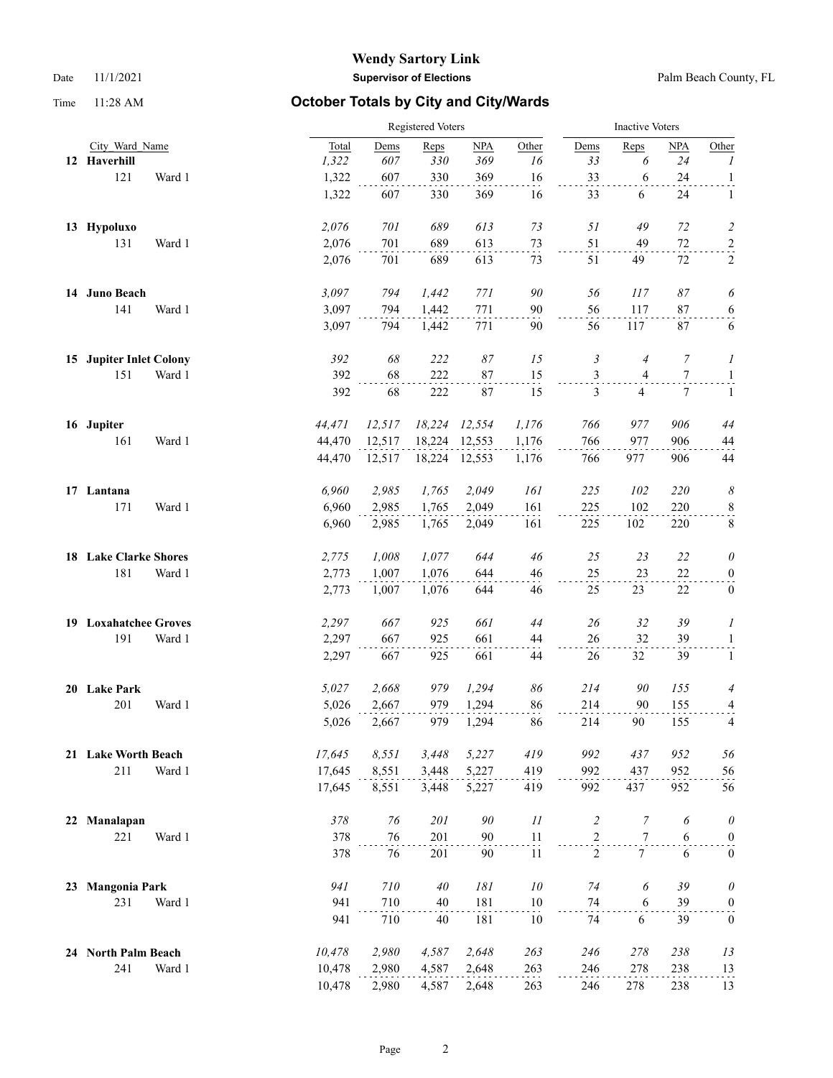|    |                              |        | <b>Registered Voters</b> |        |               |        |                |                | <b>Inactive Voters</b> |                  |  |  |
|----|------------------------------|--------|--------------------------|--------|---------------|--------|----------------|----------------|------------------------|------------------|--|--|
|    | City Ward Name               | Total  | Dems                     | Reps   | NPA           | Other  | Dems           | Reps           | NPA                    | Other            |  |  |
|    | 12 Haverhill                 | 1,322  | 607                      | 330    | 369           | 16     | 33             | 6              | 24                     | $\boldsymbol{l}$ |  |  |
|    | 121<br>Ward 1                | 1,322  | 607                      | 330    | 369           | 16     | 33             | 6              | 24                     | $\mathbf{1}$     |  |  |
|    |                              | 1,322  | 607                      | 330    | 369           | 16     | 33             | 6              | 24                     | $\mathbf{1}$     |  |  |
|    | 13 Hypoluxo                  | 2,076  | 701                      | 689    | 613           | 73     | 51             | 49             | 72                     | $\overline{c}$   |  |  |
|    | 131<br>Ward 1                | 2,076  | 701                      | 689    | 613           | 73     | 51             | 49             | $72\,$                 | $\overline{a}$   |  |  |
|    |                              | 2,076  | 701                      | 689    | 613           | 73     | 51             | 49             | 72                     | $\overline{c}$   |  |  |
|    | 14 Juno Beach                | 3,097  | 794                      | 1,442  | 771           | 90     | 56             | 117            | 87                     | 6                |  |  |
|    | 141<br>Ward 1                | 3,097  | 794                      | 1,442  | 771           | 90     | 56             | 117            | 87                     | $6 \overline{)}$ |  |  |
|    |                              | 3,097  | 794                      | 1,442  | 771           | 90     | 56             | 117            | 87                     | 6                |  |  |
|    | 15 Jupiter Inlet Colony      | 392    | 68                       | 222    | 87            | 15     | 3              | $\overline{4}$ | 7                      | 1                |  |  |
|    | 151<br>Ward 1                | 392    | 68                       | 222    | 87            | 15     | $\mathfrak{Z}$ | 4              | $\tau$                 | $\mathbf{1}$     |  |  |
|    |                              | 392    | 68                       | 222    | 87            | 15     | 3              | $\overline{4}$ | 7                      | $\mathbf{1}$     |  |  |
|    | 16 Jupiter                   | 44,471 | 12,517                   | 18,224 | 12,554        | 1,176  | 766            | 977            | 906                    | 44               |  |  |
|    | 161<br>Ward 1                | 44,470 | 12,517                   | 18,224 | 12,553        | 1,176  | 766            | 977            | 906                    | 44               |  |  |
|    |                              | 44,470 | 12,517                   |        | 18,224 12,553 | 1,176  | 766            | 977            | 906                    | 44               |  |  |
|    | 17 Lantana                   | 6,960  | 2,985                    | 1,765  | 2,049         | 161    | 225            | 102            | 220                    | 8                |  |  |
|    | 171<br>Ward 1                | 6,960  | 2,985                    | 1,765  | 2,049         | 161    | 225            | 102            | 220                    | $\frac{8}{1}$    |  |  |
|    |                              | 6,960  | 2,985                    | 1,765  | 2,049         | 161    | 225            | 102            | 220                    | $\,8\,$          |  |  |
|    | 18 Lake Clarke Shores        | 2,775  | 1,008                    | 1,077  | 644           | 46     | 25             | 23             | 22                     | $\theta$         |  |  |
|    | 181<br>Ward 1                | 2,773  | 1,007                    | 1,076  | 644           | 46     | 25             | 23             | $22\,$                 | $\boldsymbol{0}$ |  |  |
|    |                              | 2,773  | 1,007                    | 1,076  | 644           | 46     | 25             | 23             | 22                     | $\bf{0}$         |  |  |
|    | <b>19 Loxahatchee Groves</b> | 2,297  | 667                      | 925    | 661           | 44     | 26             | 32             | 39                     | 1                |  |  |
|    | 191<br>Ward 1                | 2,297  | 667                      | 925    | 661           | 44     | 26             | 32             | 39                     | $\mathbf{1}$     |  |  |
|    |                              | 2,297  | 667                      | 925    | 661           | 44     | 26             | 32             | 39                     | $\mathbf{1}$     |  |  |
|    | 20 Lake Park                 | 5,027  | 2,668                    | 979    | 1,294         | 86     | 214            | 90             | 155                    | 4                |  |  |
|    | 201<br>Ward 1                | 5,026  | 2,667                    | 979    | 1,294         | 86     | 214            | 90             | 155                    | 4                |  |  |
|    |                              | 5,026  | 2,667                    | 979    | 1,294         | 86     | 214            | 90             | 155                    | 4                |  |  |
|    | 21 Lake Worth Beach          | 17,645 | 8,551                    | 3,448  | 5,227         | 419    | 992            | 437            | 952                    | 56               |  |  |
|    | 211<br>Ward 1                | 17,645 | 8,551                    | 3,448  | 5,227         | 419    | 992            | 437            | 952                    | 56               |  |  |
|    |                              | 17,645 | 8,551                    | 3,448  | 5,227         | 419    | 992            | 437            | 952                    | 56               |  |  |
| 22 | Manalapan                    | 378    | 76                       | 201    | $90\,$        | 11     | $\overline{c}$ | $\overline{7}$ | 6                      | $\theta$         |  |  |
|    | 221<br>Ward 1                | 378    | 76                       | 201    | 90            | 11     | $\overline{c}$ | $\tau$         | 6                      | $\boldsymbol{0}$ |  |  |
|    |                              | 378    | 76                       | 201    | 90            | 11     | $\overline{2}$ | 7 <sup>1</sup> | 6                      | $\boldsymbol{0}$ |  |  |
| 23 | <b>Mangonia Park</b>         | 941    | 710                      | 40     | $181\,$       | $10\,$ | 74             | 6              | 39                     | $\theta$         |  |  |
|    | 231<br>Ward 1                | 941    | 710                      | 40     | 181           | 10     | 74             | 6              | 39                     | $\boldsymbol{0}$ |  |  |
|    |                              | 941    | 710                      | 40     | 181           | 10     | 74             | 6              | 39                     | $\boldsymbol{0}$ |  |  |
|    | 24 North Palm Beach          | 10,478 | 2,980                    | 4,587  | 2,648         | 263    | 246            | 278            | 238                    | 13               |  |  |
|    | 241<br>Ward 1                | 10,478 | 2,980                    | 4,587  | 2,648         | 263    | 246            | 278            | 238                    | 13               |  |  |
|    |                              | 10,478 | 2,980                    | 4,587  | 2,648         | 263    | 246            | 278            | 238                    | 13               |  |  |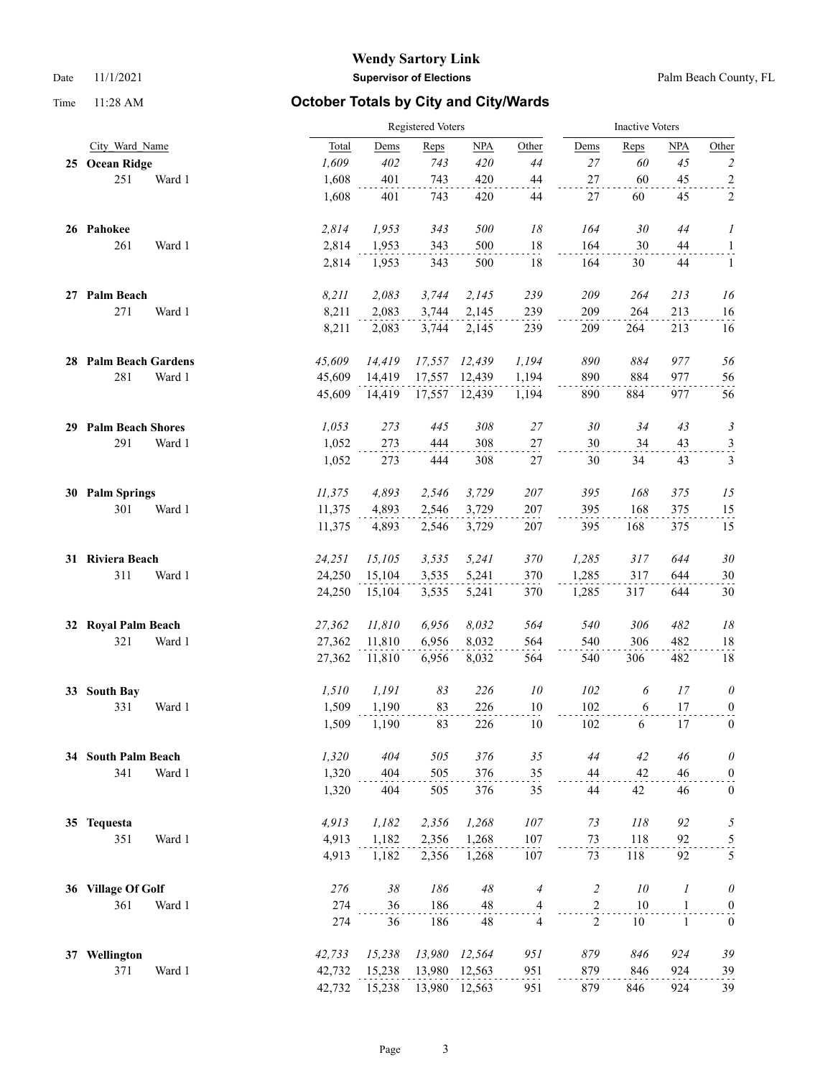|    |                         |        |        | Registered Voters |        |        |                |                |      | <b>Inactive Voters</b> |                         |  |  |
|----|-------------------------|--------|--------|-------------------|--------|--------|----------------|----------------|------|------------------------|-------------------------|--|--|
|    | City Ward Name          |        | Total  | Dems              | Reps   | NPA    | Other          | Dems           | Reps | <b>NPA</b>             | Other                   |  |  |
|    | 25 Ocean Ridge          |        | 1,609  | 402               | 743    | 420    | 44             | 27             | 60   | 45                     | $\overline{c}$          |  |  |
|    | 251                     | Ward 1 | 1,608  | 401               | 743    | 420    | $44\,$         | 27             | 60   | 45                     | $\overline{a}$          |  |  |
|    |                         |        | 1,608  | 401               | 743    | 420    | 44             | 27             | 60   | 45                     | 2                       |  |  |
|    | 26 Pahokee              |        | 2,814  | 1,953             | 343    | 500    | 18             | 164            | 30   | 44                     | 1                       |  |  |
|    | 261                     | Ward 1 | 2,814  | 1,953             | 343    | 500    | $18\,$         | 164            | 30   | 44                     | $\mathbf{1}$            |  |  |
|    |                         |        | 2,814  | 1,953             | 343    | 500    | 18             | 164            | 30   | 44                     | 1                       |  |  |
|    | 27 Palm Beach           |        | 8,211  | 2,083             | 3,744  | 2,145  | 239            | 209            | 264  | 213                    | 16                      |  |  |
|    | 271                     | Ward 1 | 8,211  | 2,083             | 3,744  | 2,145  | 239            | 209            | 264  | 213                    | 16                      |  |  |
|    |                         |        | 8,211  | 2,083             | 3,744  | 2,145  | 239            | 209            | 264  | 213                    | 16                      |  |  |
|    | 28 Palm Beach Gardens   |        | 45,609 | 14,419            | 17,557 | 12,439 | 1,194          | 890            | 884  | 977                    | 56                      |  |  |
|    | 281                     | Ward 1 | 45,609 | 14,419            | 17,557 | 12,439 | 1,194          | 890            | 884  | 977                    | 56                      |  |  |
|    |                         |        | 45,609 | 14,419            | 17,557 | 12,439 | 1,194          | 890            | 884  | 977                    | 56                      |  |  |
|    | 29 Palm Beach Shores    |        | 1,053  | 273               | 445    | 308    | 27             | 30             | 34   | 43                     | 3                       |  |  |
|    | 291                     | Ward 1 | 1,052  | 273               | 444    | 308    | 27             | 30             | 34   | 43                     | $\mathfrak{Z}$          |  |  |
|    |                         |        | 1,052  | 273               | 444    | 308    | $27\,$         | 30             | 34   | 43                     | 3                       |  |  |
|    | 30 Palm Springs         |        | 11,375 | 4,893             | 2,546  | 3,729  | 207            | 395            | 168  | 375                    | 15                      |  |  |
|    | 301                     | Ward 1 | 11,375 | 4,893             | 2,546  | 3,729  | 207            | 395            | 168  | 375                    | 15                      |  |  |
|    |                         |        | 11,375 | 4,893             | 2,546  | 3,729  | 207            | 395            | 168  | 375                    | 15                      |  |  |
|    | 31 Riviera Beach        |        | 24,251 | 15,105            | 3,535  | 5,241  | 370            | 1,285          | 317  | 644                    | $30\,$                  |  |  |
|    | 311                     | Ward 1 | 24,250 | 15,104            | 3,535  | 5,241  | 370            | 1,285          | 317  | 644                    | 30                      |  |  |
|    |                         |        | 24,250 | 15,104            | 3,535  | 5,241  | 370            | 1,285          | 317  | 644                    | 30                      |  |  |
| 32 | <b>Royal Palm Beach</b> |        | 27,362 | 11,810            | 6,956  | 8,032  | 564            | 540            | 306  | 482                    | 18                      |  |  |
|    | 321                     | Ward 1 | 27,362 | 11,810            | 6,956  | 8,032  | 564            | 540            | 306  | 482                    | 18                      |  |  |
|    |                         |        | 27,362 | 11,810            | 6,956  | 8,032  | 564            | 540            | 306  | 482                    | 18                      |  |  |
| 33 | <b>South Bay</b>        |        | 1,510  | 1,191             | 83     | 226    | 10             | 102            | 6    | 17                     | $\theta$                |  |  |
|    | 331                     | Ward 1 | 1,509  | 1,190             | 83     | 226    | $10\,$         | 102            | 6    | $17$                   | $\overline{0}$          |  |  |
|    |                         |        | 1,509  | 1,190             | 83     | 226    | 10             | 102            | 6    | 17                     | $\boldsymbol{0}$        |  |  |
|    | 34 South Palm Beach     |        | 1,320  | 404               | 505    | 376    | 35             | 44             | 42   | $46\,$                 | $\theta$                |  |  |
|    | 341                     | Ward 1 | 1,320  | 404               | 505    | 376    | 35             | 44             | 42   | 46                     | $\boldsymbol{0}$        |  |  |
|    |                         |        | 1,320  | 404               | 505    | 376    | 35             | 44             | 42   | 46                     | $\boldsymbol{0}$        |  |  |
|    | 35 Tequesta             |        | 4,913  | 1,182             | 2,356  | 1,268  | 107            | 73             | 118  | 92                     | $\sqrt{2}$              |  |  |
|    | 351                     | Ward 1 | 4,913  | 1,182             | 2,356  | 1,268  | 107            | 73             | 118  | 92                     | $\overline{\mathbf{5}}$ |  |  |
|    |                         |        | 4,913  | 1,182             | 2,356  | 1,268  | 107            | 73             | 118  | 92                     | 5                       |  |  |
|    | 36 Village Of Golf      |        | 276    | $38\,$            | 186    | 48     | $\overline{4}$ | $\overline{c}$ | 10   | 1                      | $\theta$                |  |  |
|    | 361                     | Ward 1 | 274    | 36                | 186    | 48     | 4              | $\sqrt{2}$     | 10   | $\mathbf{1}$           | $\boldsymbol{0}$        |  |  |
|    |                         |        | 274    | 36                | 186    | 48     | $\overline{4}$ | $\overline{c}$ | 10   | $\mathbf{1}$           | $\boldsymbol{0}$        |  |  |
|    | 37 Wellington           |        | 42,733 | 15,238            | 13,980 | 12,564 | 951            | 879            | 846  | 924                    | 39                      |  |  |
|    | 371                     | Ward 1 | 42,732 | 15,238            | 13,980 | 12,563 | 951            | 879            | 846  | 924                    | 39                      |  |  |
|    |                         |        | 42,732 | 15,238            | 13,980 | 12,563 | 951            | 879            | 846  | 924                    | 39                      |  |  |